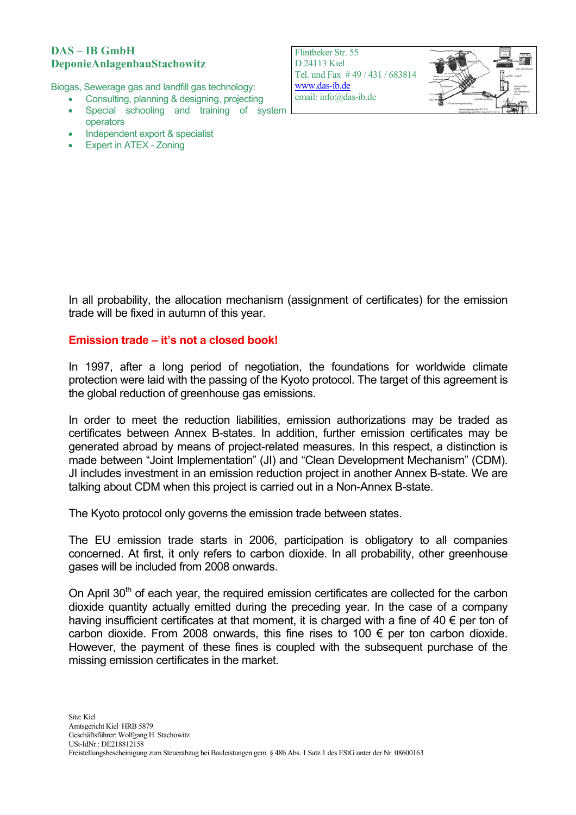### **DAS – IB GmbH DeponieAnlagenbauStachowitz**

Biogas, Sewerage gas and landfill gas technology:

- Consulting, planning & designing, projecting
- Special schooling and training of system operators
- Independent export & specialist
- **Expert in ATEX Zoning**

Flintbeker Str. 55 D 24113 Kiel Tel. und Fax # 49 / 431 / 683814 [www.das-ib.de](http://www.das-ib.de/) email: info@das-ib.de



In all probability, the allocation mechanism (assignment of certificates) for the emission trade will be fixed in autumn of this year.

## **Emission trade – it's not a closed book!**

In 1997, after a long period of negotiation, the foundations for worldwide climate protection were laid with the passing of the Kyoto protocol. The target of this agreement is the global reduction of greenhouse gas emissions.

In order to meet the reduction liabilities, emission authorizations may be traded as certificates between Annex B-states. In addition, further emission certificates may be generated abroad by means of project-related measures. In this respect, a distinction is made between "Joint Implementation" (JI) and "Clean Development Mechanism" (CDM). JI includes investment in an emission reduction project in another Annex B-state. We are talking about CDM when this project is carried out in a Non-Annex B-state.

The Kyoto protocol only governs the emission trade between states.

The EU emission trade starts in 2006, participation is obligatory to all companies concerned. At first, it only refers to carbon dioxide. In all probability, other greenhouse gases will be included from 2008 onwards.

On April  $30<sup>th</sup>$  of each year, the required emission certificates are collected for the carbon dioxide quantity actually emitted during the preceding year. In the case of a company having insufficient certificates at that moment, it is charged with a fine of 40  $\epsilon$  per ton of carbon dioxide. From 2008 onwards, this fine rises to 100  $\epsilon$  per ton carbon dioxide. However, the payment of these fines is coupled with the subsequent purchase of the missing emission certificates in the market.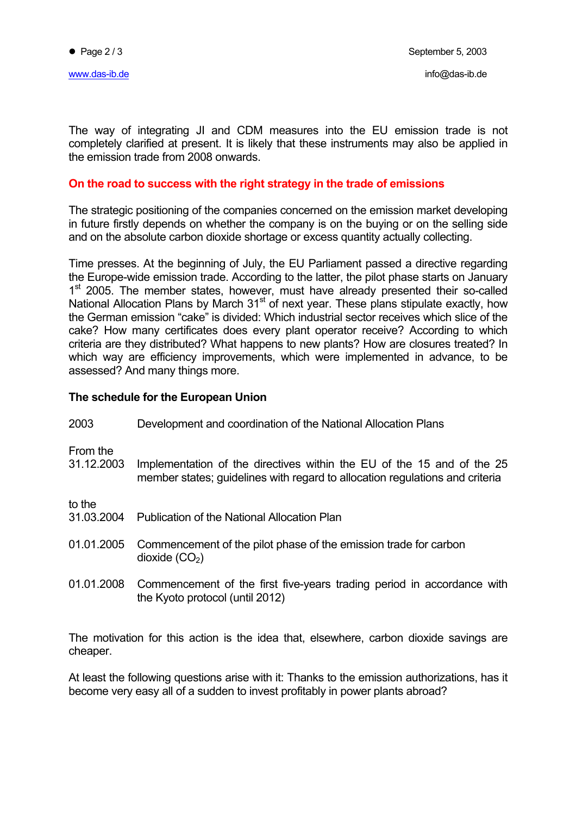The way of integrating JI and CDM measures into the EU emission trade is not completely clarified at present. It is likely that these instruments may also be applied in the emission trade from 2008 onwards.

#### **On the road to success with the right strategy in the trade of emissions**

The strategic positioning of the companies concerned on the emission market developing in future firstly depends on whether the company is on the buying or on the selling side and on the absolute carbon dioxide shortage or excess quantity actually collecting.

Time presses. At the beginning of July, the EU Parliament passed a directive regarding the Europe-wide emission trade. According to the latter, the pilot phase starts on January 1<sup>st</sup> 2005. The member states, however, must have already presented their so-called National Allocation Plans by March 31<sup>st</sup> of next year. These plans stipulate exactly, how the German emission "cake" is divided: Which industrial sector receives which slice of the cake? How many certificates does every plant operator receive? According to which criteria are they distributed? What happens to new plants? How are closures treated? In which way are efficiency improvements, which were implemented in advance, to be assessed? And many things more.

#### **The schedule for the European Union**

2003 Development and coordination of the National Allocation Plans From the 31.12.2003 Implementation of the directives within the EU of the 15 and of the 25 member states; guidelines with regard to allocation regulations and criteria to the 31.03.2004 Publication of the National Allocation Plan 01.01.2005 Commencement of the pilot phase of the emission trade for carbon dioxide  $(CO<sub>2</sub>)$ 01.01.2008 Commencement of the first five-years trading period in accordance with the Kyoto protocol (until 2012)

The motivation for this action is the idea that, elsewhere, carbon dioxide savings are cheaper.

At least the following questions arise with it: Thanks to the emission authorizations, has it become very easy all of a sudden to invest profitably in power plants abroad?